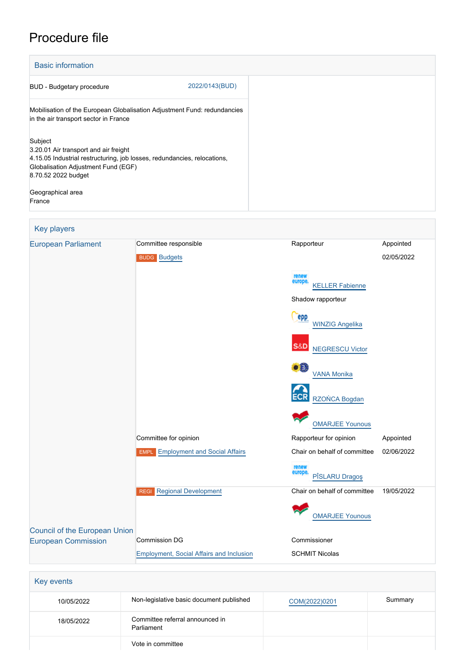# Procedure file

| <b>Basic information</b>                                                                                                                                                                   |                |
|--------------------------------------------------------------------------------------------------------------------------------------------------------------------------------------------|----------------|
| <b>BUD</b> - Budgetary procedure                                                                                                                                                           | 2022/0143(BUD) |
| Mobilisation of the European Globalisation Adjustment Fund: redundancies<br>in the air transport sector in France                                                                          |                |
| Subject<br>3.20.01 Air transport and air freight<br>4.15.05 Industrial restructuring, job losses, redundancies, relocations,<br>Globalisation Adjustment Fund (EGF)<br>8.70.52 2022 budget |                |
| Geographical area<br>France                                                                                                                                                                |                |

## Key players [European Parliament](http://www.europarl.europa.eu/) Committee responsible Rapporteur Rapporteur Appointed BUDG [Budgets](http://www.europarl.europa.eu/committees/en/budg/home.html) 02/05/2022 [KELLER Fabienne](http://www.europarl.europa.eu/meps/en/22858) Shadow rapporteur **PPP**  [WINZIG Angelika](http://www.europarl.europa.eu/meps/en/197652) **S&D**  [NEGRESCU Victor](http://www.europarl.europa.eu/meps/en/88882) [VANA Monika](http://www.europarl.europa.eu/meps/en/124934) [RZOŃCA Bogdan](http://www.europarl.europa.eu/meps/en/197545) [OMARJEE Younous](http://www.europarl.europa.eu/meps/en/30482) Committee for opinion **Committee for opinion** Rapporteur for opinion Appointed EMPL [Employment and Social Affairs](http://www.europarl.europa.eu/committees/en/empl/home.html) Chair on behalf of committee 02/06/2022 [PÎSLARU Dragoş](http://www.europarl.europa.eu/meps/en/197663) REGI [Regional Development](http://www.europarl.europa.eu/committees/en/regi/home.html) Chair on behalf of committee 19/05/2022 [OMARJEE Younous](http://www.europarl.europa.eu/meps/en/30482) [Council of the European Union](http://www.consilium.europa.eu) [European Commission](http://ec.europa.eu/) Commission DG Commissioner [Employment, Social Affairs and Inclusion](http://ec.europa.eu/info/departments/employment-social-affairs-and-inclusion_en) SCHMIT Nicolas

| Key events |                                               |               |         |  |  |  |
|------------|-----------------------------------------------|---------------|---------|--|--|--|
| 10/05/2022 | Non-legislative basic document published      | COM(2022)0201 | Summary |  |  |  |
| 18/05/2022 | Committee referral announced in<br>Parliament |               |         |  |  |  |
|            | Vote in committee                             |               |         |  |  |  |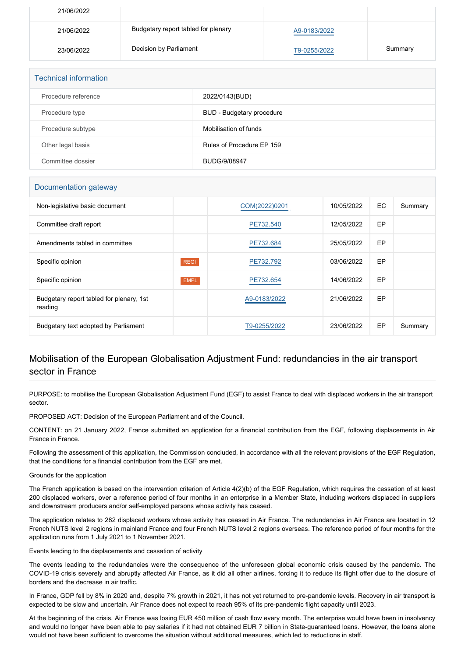| 21/06/2022 |                                     |              |         |
|------------|-------------------------------------|--------------|---------|
| 21/06/2022 | Budgetary report tabled for plenary | A9-0183/2022 |         |
| 23/06/2022 | Decision by Parliament              | T9-0255/2022 | Summary |

| <b>Technical information</b> |                           |
|------------------------------|---------------------------|
| Procedure reference          | 2022/0143(BUD)            |
| Procedure type               | BUD - Budgetary procedure |
| Procedure subtype            | Mobilisation of funds     |
| Other legal basis            | Rules of Procedure EP 159 |
| Committee dossier            | BUDG/9/08947              |

#### Documentation gateway

| Non-legislative basic document                      |             | COM(2022)0201 | 10/05/2022 | EC.       | Summary |
|-----------------------------------------------------|-------------|---------------|------------|-----------|---------|
| Committee draft report                              |             | PE732.540     | 12/05/2022 | <b>EP</b> |         |
| Amendments tabled in committee                      |             | PE732.684     | 25/05/2022 | <b>EP</b> |         |
| Specific opinion                                    | <b>REGI</b> | PE732.792     | 03/06/2022 | <b>EP</b> |         |
| Specific opinion                                    | <b>EMPL</b> | PE732.654     | 14/06/2022 | <b>EP</b> |         |
| Budgetary report tabled for plenary, 1st<br>reading |             | A9-0183/2022  | 21/06/2022 | <b>EP</b> |         |
| Budgetary text adopted by Parliament                |             | T9-0255/2022  | 23/06/2022 | EP        | Summary |

## Mobilisation of the European Globalisation Adjustment Fund: redundancies in the air transport sector in France

PURPOSE: to mobilise the European Globalisation Adjustment Fund (EGF) to assist France to deal with displaced workers in the air transport sector.

PROPOSED ACT: Decision of the European Parliament and of the Council.

CONTENT: on 21 January 2022, France submitted an application for a financial contribution from the EGF, following displacements in Air France in France.

Following the assessment of this application, the Commission concluded, in accordance with all the relevant provisions of the EGF Regulation, that the conditions for a financial contribution from the EGF are met.

#### Grounds for the application

The French application is based on the intervention criterion of Article 4(2)(b) of the EGF Regulation, which requires the cessation of at least 200 displaced workers, over a reference period of four months in an enterprise in a Member State, including workers displaced in suppliers and downstream producers and/or self-employed persons whose activity has ceased.

The application relates to 282 displaced workers whose activity has ceased in Air France. The redundancies in Air France are located in 12 French NUTS level 2 regions in mainland France and four French NUTS level 2 regions overseas. The reference period of four months for the application runs from 1 July 2021 to 1 November 2021.

Events leading to the displacements and cessation of activity

The events leading to the redundancies were the consequence of the unforeseen global economic crisis caused by the pandemic. The COVID-19 crisis severely and abruptly affected Air France, as it did all other airlines, forcing it to reduce its flight offer due to the closure of borders and the decrease in air traffic.

In France, GDP fell by 8% in 2020 and, despite 7% growth in 2021, it has not yet returned to pre-pandemic levels. Recovery in air transport is expected to be slow and uncertain. Air France does not expect to reach 95% of its pre-pandemic flight capacity until 2023.

At the beginning of the crisis, Air France was losing EUR 450 million of cash flow every month. The enterprise would have been in insolvency and would no longer have been able to pay salaries if it had not obtained EUR 7 billion in State-guaranteed loans. However, the loans alone would not have been sufficient to overcome the situation without additional measures, which led to reductions in staff.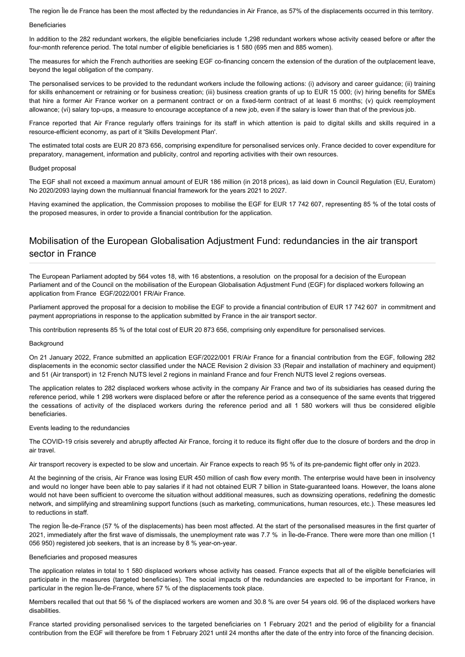The region Île de France has been the most affected by the redundancies in Air France, as 57% of the displacements occurred in this territory.

#### Beneficiaries

In addition to the 282 redundant workers, the eligible beneficiaries include 1,298 redundant workers whose activity ceased before or after the four-month reference period. The total number of eligible beneficiaries is 1 580 (695 men and 885 women).

The measures for which the French authorities are seeking EGF co-financing concern the extension of the duration of the outplacement leave, beyond the legal obligation of the company.

The personalised services to be provided to the redundant workers include the following actions: (i) advisory and career guidance; (ii) training for skills enhancement or retraining or for business creation; (iii) business creation grants of up to EUR 15 000; (iv) hiring benefits for SMEs that hire a former Air France worker on a permanent contract or on a fixed-term contract of at least 6 months; (v) quick reemployment allowance; (vi) salary top-ups, a measure to encourage acceptance of a new job, even if the salary is lower than that of the previous job.

France reported that Air France regularly offers trainings for its staff in which attention is paid to digital skills and skills required in a resource-efficient economy, as part of it 'Skills Development Plan'.

The estimated total costs are EUR 20 873 656, comprising expenditure for personalised services only. France decided to cover expenditure for preparatory, management, information and publicity, control and reporting activities with their own resources.

#### Budget proposal

The EGF shall not exceed a maximum annual amount of EUR 186 million (in 2018 prices), as laid down in Council Regulation (EU, Euratom) No 2020/2093 laying down the multiannual financial framework for the years 2021 to 2027.

Having examined the application, the Commission proposes to mobilise the EGF for EUR 17 742 607, representing 85 % of the total costs of the proposed measures, in order to provide a financial contribution for the application.

### Mobilisation of the European Globalisation Adjustment Fund: redundancies in the air transport sector in France

The European Parliament adopted by 564 votes 18, with 16 abstentions, a resolution on the proposal for a decision of the European Parliament and of the Council on the mobilisation of the European Globalisation Adjustment Fund (EGF) for displaced workers following an application from France EGF/2022/001 FR/Air France.

Parliament approved the proposal for a decision to mobilise the EGF to provide a financial contribution of EUR 17 742 607 in commitment and payment appropriations in response to the application submitted by France in the air transport sector.

This contribution represents 85 % of the total cost of EUR 20 873 656, comprising only expenditure for personalised services.

#### **Background**

On 21 January 2022, France submitted an application EGF/2022/001 FR/Air France for a financial contribution from the EGF, following 282 displacements in the economic sector classified under the NACE Revision 2 division 33 (Repair and installation of machinery and equipment) and 51 (Air transport) in 12 French NUTS level 2 regions in mainland France and four French NUTS level 2 regions overseas.

The application relates to 282 displaced workers whose activity in the company Air France and two of its subsidiaries has ceased during the reference period, while 1 298 workers were displaced before or after the reference period as a consequence of the same events that triggered the cessations of activity of the displaced workers during the reference period and all 1 580 workers will thus be considered eligible beneficiaries.

#### Events leading to the redundancies

The COVID-19 crisis severely and abruptly affected Air France, forcing it to reduce its flight offer due to the closure of borders and the drop in air travel.

Air transport recovery is expected to be slow and uncertain. Air France expects to reach 95 % of its pre-pandemic flight offer only in 2023.

At the beginning of the crisis, Air France was losing EUR 450 million of cash flow every month. The enterprise would have been in insolvency and would no longer have been able to pay salaries if it had not obtained EUR 7 billion in State-guaranteed loans. However, the loans alone would not have been sufficient to overcome the situation without additional measures, such as downsizing operations, redefining the domestic network, and simplifying and streamlining support functions (such as marketing, communications, human resources, etc.). These measures led to reductions in staff.

The region Île-de-France (57 % of the displacements) has been most affected. At the start of the personalised measures in the first quarter of 2021, immediately after the first wave of dismissals, the unemployment rate was 7.7 % in Île-de-France. There were more than one million (1 056 950) registered job seekers, that is an increase by 8 % year-on-year.

#### Beneficiaries and proposed measures

The application relates in total to 1 580 displaced workers whose activity has ceased. France expects that all of the eligible beneficiaries will participate in the measures (targeted beneficiaries). The social impacts of the redundancies are expected to be important for France, in particular in the region Île-de-France, where 57 % of the displacements took place.

Members recalled that out that 56 % of the displaced workers are women and 30.8 % are over 54 years old. 96 of the displaced workers have disabilities.

France started providing personalised services to the targeted beneficiaries on 1 February 2021 and the period of eligibility for a financial contribution from the EGF will therefore be from 1 February 2021 until 24 months after the date of the entry into force of the financing decision.